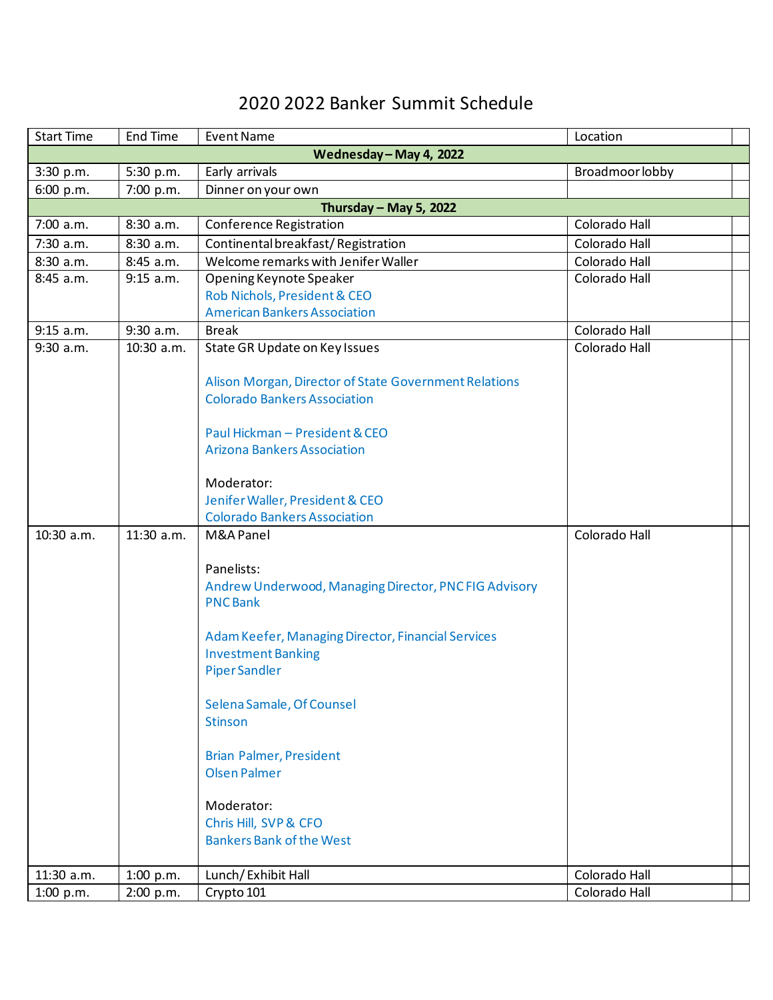## 2020 2022 Banker Summit Schedule

| <b>Start Time</b>       | <b>End Time</b> | <b>Event Name</b>                                     | Location        |  |  |  |
|-------------------------|-----------------|-------------------------------------------------------|-----------------|--|--|--|
| Wednesday - May 4, 2022 |                 |                                                       |                 |  |  |  |
| 3:30 p.m.               | 5:30 p.m.       | Early arrivals                                        | Broadmoor lobby |  |  |  |
| 6:00 p.m.               | 7:00 p.m.       | Dinner on your own                                    |                 |  |  |  |
| Thursday - May 5, 2022  |                 |                                                       |                 |  |  |  |
| 7:00 a.m.               | 8:30 a.m.       | Conference Registration                               | Colorado Hall   |  |  |  |
| 7:30 a.m.               | 8:30 a.m.       | Continental breakfast/Registration                    | Colorado Hall   |  |  |  |
| 8:30 a.m.               | 8:45 a.m.       | Welcome remarks with Jenifer Waller                   | Colorado Hall   |  |  |  |
| 8:45 a.m.               | 9:15 a.m.       | Opening Keynote Speaker                               | Colorado Hall   |  |  |  |
|                         |                 | Rob Nichols, President & CEO                          |                 |  |  |  |
|                         |                 | <b>American Bankers Association</b>                   |                 |  |  |  |
| 9:15 a.m.               | $9:30$ a.m.     | <b>Break</b>                                          | Colorado Hall   |  |  |  |
| 9:30 a.m.               | 10:30 a.m.      | State GR Update on Key Issues                         | Colorado Hall   |  |  |  |
|                         |                 |                                                       |                 |  |  |  |
|                         |                 | Alison Morgan, Director of State Government Relations |                 |  |  |  |
|                         |                 | <b>Colorado Bankers Association</b>                   |                 |  |  |  |
|                         |                 |                                                       |                 |  |  |  |
|                         |                 | Paul Hickman - President & CEO                        |                 |  |  |  |
|                         |                 | <b>Arizona Bankers Association</b>                    |                 |  |  |  |
|                         |                 | Moderator:                                            |                 |  |  |  |
|                         |                 | Jenifer Waller, President & CEO                       |                 |  |  |  |
|                         |                 | <b>Colorado Bankers Association</b>                   |                 |  |  |  |
| 10:30 a.m.              | 11:30 a.m.      | M&A Panel                                             | Colorado Hall   |  |  |  |
|                         |                 |                                                       |                 |  |  |  |
|                         |                 | Panelists:                                            |                 |  |  |  |
|                         |                 | Andrew Underwood, Managing Director, PNC FIG Advisory |                 |  |  |  |
|                         |                 | <b>PNCBank</b>                                        |                 |  |  |  |
|                         |                 |                                                       |                 |  |  |  |
|                         |                 | Adam Keefer, Managing Director, Financial Services    |                 |  |  |  |
|                         |                 | <b>Investment Banking</b>                             |                 |  |  |  |
|                         |                 | <b>PiperSandler</b>                                   |                 |  |  |  |
|                         |                 |                                                       |                 |  |  |  |
|                         |                 | Selena Samale, Of Counsel                             |                 |  |  |  |
|                         |                 | <b>Stinson</b>                                        |                 |  |  |  |
|                         |                 |                                                       |                 |  |  |  |
|                         |                 | <b>Brian Palmer, President</b>                        |                 |  |  |  |
|                         |                 | <b>Olsen Palmer</b>                                   |                 |  |  |  |
|                         |                 |                                                       |                 |  |  |  |
|                         |                 | Moderator:                                            |                 |  |  |  |
|                         |                 | Chris Hill, SVP & CFO                                 |                 |  |  |  |
|                         |                 | <b>Bankers Bank of the West</b>                       |                 |  |  |  |
|                         |                 |                                                       |                 |  |  |  |
| 11:30 a.m.              | 1:00 p.m.       | Lunch/Exhibit Hall                                    | Colorado Hall   |  |  |  |
| 1:00 p.m.               | 2:00 p.m.       | Crypto 101                                            | Colorado Hall   |  |  |  |